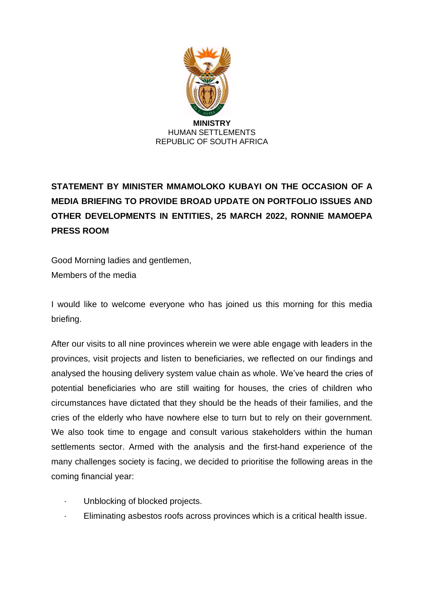

# **STATEMENT BY MINISTER MMAMOLOKO KUBAYI ON THE OCCASION OF A MEDIA BRIEFING TO PROVIDE BROAD UPDATE ON PORTFOLIO ISSUES AND OTHER DEVELOPMENTS IN ENTITIES, 25 MARCH 2022, RONNIE MAMOEPA PRESS ROOM**

Good Morning ladies and gentlemen, Members of the media

I would like to welcome everyone who has joined us this morning for this media briefing.

After our visits to all nine provinces wherein we were able engage with leaders in the provinces, visit projects and listen to beneficiaries, we reflected on our findings and analysed the housing delivery system value chain as whole. We've heard the cries of potential beneficiaries who are still waiting for houses, the cries of children who circumstances have dictated that they should be the heads of their families, and the cries of the elderly who have nowhere else to turn but to rely on their government. We also took time to engage and consult various stakeholders within the human settlements sector. Armed with the analysis and the first-hand experience of the many challenges society is facing, we decided to prioritise the following areas in the coming financial year:

- Unblocking of blocked projects.
- · Eliminating asbestos roofs across provinces which is a critical health issue.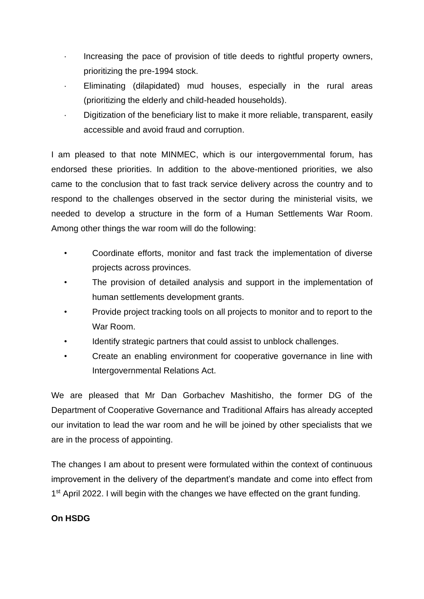- Increasing the pace of provision of title deeds to rightful property owners, prioritizing the pre-1994 stock.
- Eliminating (dilapidated) mud houses, especially in the rural areas (prioritizing the elderly and child-headed households).
- · Digitization of the beneficiary list to make it more reliable, transparent, easily accessible and avoid fraud and corruption.

I am pleased to that note MINMEC, which is our intergovernmental forum, has endorsed these priorities. In addition to the above-mentioned priorities, we also came to the conclusion that to fast track service delivery across the country and to respond to the challenges observed in the sector during the ministerial visits, we needed to develop a structure in the form of a Human Settlements War Room. Among other things the war room will do the following:

- Coordinate efforts, monitor and fast track the implementation of diverse projects across provinces.
- The provision of detailed analysis and support in the implementation of human settlements development grants.
- Provide project tracking tools on all projects to monitor and to report to the War Room.
- Identify strategic partners that could assist to unblock challenges.
- Create an enabling environment for cooperative governance in line with Intergovernmental Relations Act.

We are pleased that Mr Dan Gorbachev Mashitisho, the former DG of the Department of Cooperative Governance and Traditional Affairs has already accepted our invitation to lead the war room and he will be joined by other specialists that we are in the process of appointing.

The changes I am about to present were formulated within the context of continuous improvement in the delivery of the department's mandate and come into effect from 1<sup>st</sup> April 2022. I will begin with the changes we have effected on the grant funding.

# **On HSDG**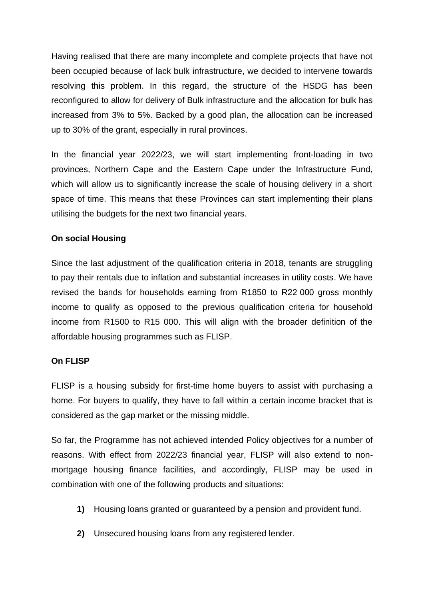Having realised that there are many incomplete and complete projects that have not been occupied because of lack bulk infrastructure, we decided to intervene towards resolving this problem. In this regard, the structure of the HSDG has been reconfigured to allow for delivery of Bulk infrastructure and the allocation for bulk has increased from 3% to 5%. Backed by a good plan, the allocation can be increased up to 30% of the grant, especially in rural provinces.

In the financial year 2022/23, we will start implementing front-loading in two provinces, Northern Cape and the Eastern Cape under the Infrastructure Fund, which will allow us to significantly increase the scale of housing delivery in a short space of time. This means that these Provinces can start implementing their plans utilising the budgets for the next two financial years.

# **On social Housing**

Since the last adjustment of the qualification criteria in 2018, tenants are struggling to pay their rentals due to inflation and substantial increases in utility costs. We have revised the bands for households earning from R1850 to R22 000 gross monthly income to qualify as opposed to the previous qualification criteria for household income from R1500 to R15 000. This will align with the broader definition of the affordable housing programmes such as FLISP.

#### **On FLISP**

FLISP is a housing subsidy for first-time home buyers to assist with purchasing a home. For buyers to qualify, they have to fall within a certain income bracket that is considered as the gap market or the missing middle.

So far, the Programme has not achieved intended Policy objectives for a number of reasons. With effect from 2022/23 financial year, FLISP will also extend to nonmortgage housing finance facilities, and accordingly, FLISP may be used in combination with one of the following products and situations:

- **1)** Housing loans granted or guaranteed by a pension and provident fund.
- **2)** Unsecured housing loans from any registered lender.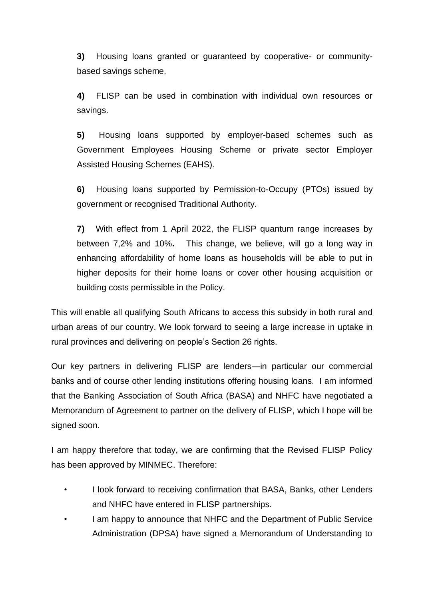**3)** Housing loans granted or guaranteed by cooperative- or communitybased savings scheme.

**4)** FLISP can be used in combination with individual own resources or savings.

**5)** Housing loans supported by employer-based schemes such as Government Employees Housing Scheme or private sector Employer Assisted Housing Schemes (EAHS).

**6)** Housing loans supported by Permission-to-Occupy (PTOs) issued by government or recognised Traditional Authority.

**7)** With effect from 1 April 2022, the FLISP quantum range increases by between 7,2% and 10%**.** This change, we believe, will go a long way in enhancing affordability of home loans as households will be able to put in higher deposits for their home loans or cover other housing acquisition or building costs permissible in the Policy.

This will enable all qualifying South Africans to access this subsidy in both rural and urban areas of our country. We look forward to seeing a large increase in uptake in rural provinces and delivering on people's Section 26 rights.

Our key partners in delivering FLISP are lenders—in particular our commercial banks and of course other lending institutions offering housing loans. I am informed that the Banking Association of South Africa (BASA) and NHFC have negotiated a Memorandum of Agreement to partner on the delivery of FLISP, which I hope will be signed soon.

I am happy therefore that today, we are confirming that the Revised FLISP Policy has been approved by MINMEC. Therefore:

- I look forward to receiving confirmation that BASA, Banks, other Lenders and NHFC have entered in FLISP partnerships.
- I am happy to announce that NHFC and the Department of Public Service Administration (DPSA) have signed a Memorandum of Understanding to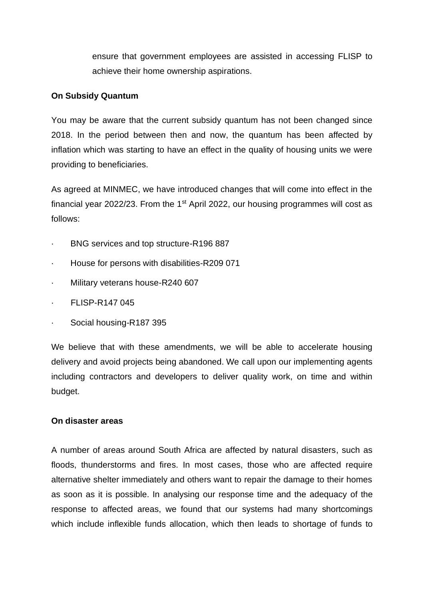ensure that government employees are assisted in accessing FLISP to achieve their home ownership aspirations.

# **On Subsidy Quantum**

You may be aware that the current subsidy quantum has not been changed since 2018. In the period between then and now, the quantum has been affected by inflation which was starting to have an effect in the quality of housing units we were providing to beneficiaries.

As agreed at MINMEC, we have introduced changes that will come into effect in the financial year 2022/23. From the  $1<sup>st</sup>$  April 2022, our housing programmes will cost as follows:

- · BNG services and top structure-R196 887
- · House for persons with disabilities-R209 071
- · Military veterans house-R240 607
- · FLISP-R147 045
- Social housing-R187 395

We believe that with these amendments, we will be able to accelerate housing delivery and avoid projects being abandoned. We call upon our implementing agents including contractors and developers to deliver quality work, on time and within budget.

# **On disaster areas**

A number of areas around South Africa are affected by natural disasters, such as floods, thunderstorms and fires. In most cases, those who are affected require alternative shelter immediately and others want to repair the damage to their homes as soon as it is possible. In analysing our response time and the adequacy of the response to affected areas, we found that our systems had many shortcomings which include inflexible funds allocation, which then leads to shortage of funds to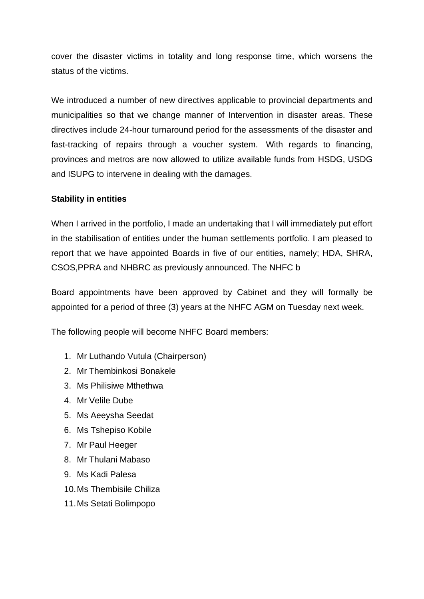cover the disaster victims in totality and long response time, which worsens the status of the victims.

We introduced a number of new directives applicable to provincial departments and municipalities so that we change manner of Intervention in disaster areas. These directives include 24-hour turnaround period for the assessments of the disaster and fast-tracking of repairs through a voucher system. With regards to financing, provinces and metros are now allowed to utilize available funds from HSDG, USDG and ISUPG to intervene in dealing with the damages.

# **Stability in entities**

When I arrived in the portfolio, I made an undertaking that I will immediately put effort in the stabilisation of entities under the human settlements portfolio. I am pleased to report that we have appointed Boards in five of our entities, namely; HDA, SHRA, CSOS,PPRA and NHBRC as previously announced. The NHFC b

Board appointments have been approved by Cabinet and they will formally be appointed for a period of three (3) years at the NHFC AGM on Tuesday next week.

The following people will become NHFC Board members:

- 1. Mr Luthando Vutula (Chairperson)
- 2. Mr Thembinkosi Bonakele
- 3. Ms Philisiwe Mthethwa
- 4. Mr Velile Dube
- 5. Ms Aeeysha Seedat
- 6. Ms Tshepiso Kobile
- 7. Mr Paul Heeger
- 8. Mr Thulani Mabaso
- 9. Ms Kadi Palesa
- 10.Ms Thembisile Chiliza
- 11.Ms Setati Bolimpopo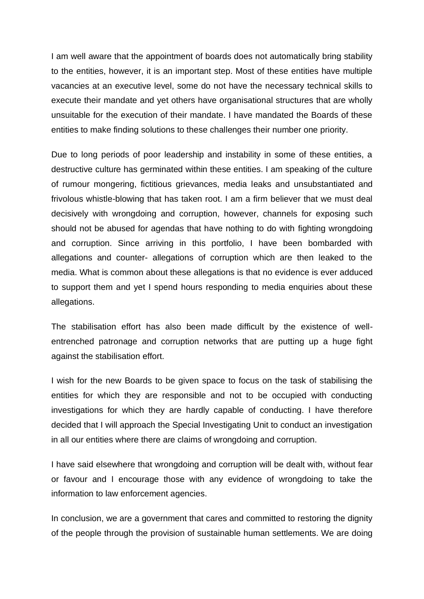I am well aware that the appointment of boards does not automatically bring stability to the entities, however, it is an important step. Most of these entities have multiple vacancies at an executive level, some do not have the necessary technical skills to execute their mandate and yet others have organisational structures that are wholly unsuitable for the execution of their mandate. I have mandated the Boards of these entities to make finding solutions to these challenges their number one priority.

Due to long periods of poor leadership and instability in some of these entities, a destructive culture has germinated within these entities. I am speaking of the culture of rumour mongering, fictitious grievances, media leaks and unsubstantiated and frivolous whistle-blowing that has taken root. I am a firm believer that we must deal decisively with wrongdoing and corruption, however, channels for exposing such should not be abused for agendas that have nothing to do with fighting wrongdoing and corruption. Since arriving in this portfolio, I have been bombarded with allegations and counter- allegations of corruption which are then leaked to the media. What is common about these allegations is that no evidence is ever adduced to support them and yet I spend hours responding to media enquiries about these allegations.

The stabilisation effort has also been made difficult by the existence of wellentrenched patronage and corruption networks that are putting up a huge fight against the stabilisation effort.

I wish for the new Boards to be given space to focus on the task of stabilising the entities for which they are responsible and not to be occupied with conducting investigations for which they are hardly capable of conducting. I have therefore decided that I will approach the Special Investigating Unit to conduct an investigation in all our entities where there are claims of wrongdoing and corruption.

I have said elsewhere that wrongdoing and corruption will be dealt with, without fear or favour and I encourage those with any evidence of wrongdoing to take the information to law enforcement agencies.

In conclusion, we are a government that cares and committed to restoring the dignity of the people through the provision of sustainable human settlements. We are doing